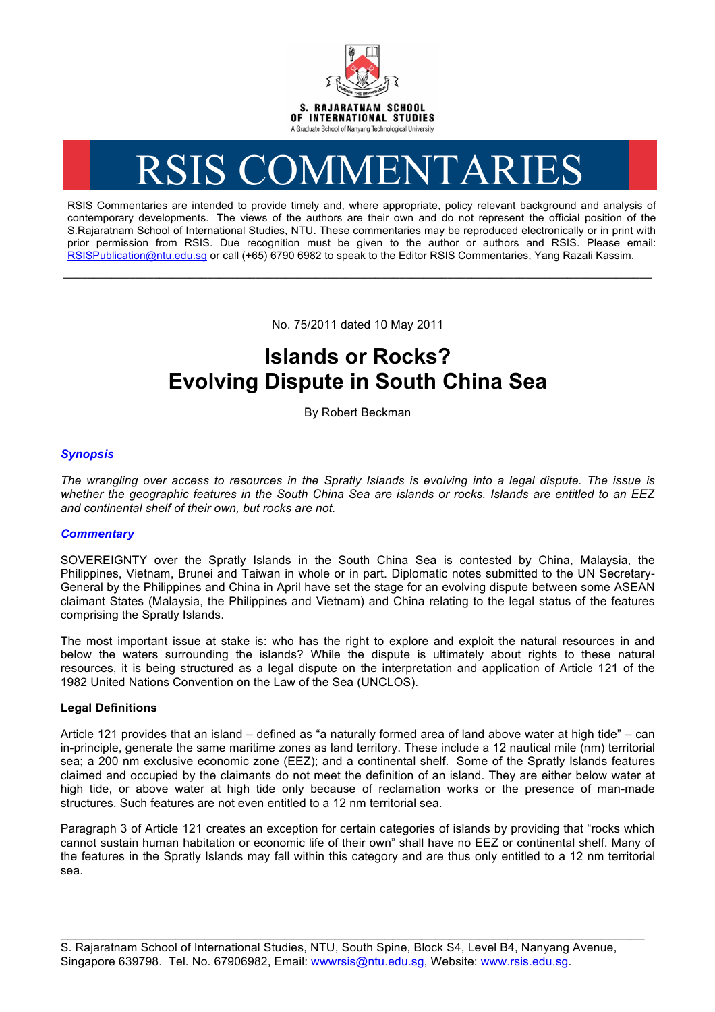

# RSIS COMMENTARIES

RSIS Commentaries are intended to provide timely and, where appropriate, policy relevant background and analysis of contemporary developments. The views of the authors are their own and do not represent the official position of the S.Rajaratnam School of International Studies, NTU. These commentaries may be reproduced electronically or in print with prior permission from RSIS. Due recognition must be given to the author or authors and RSIS. Please email: RSISPublication@ntu.edu.sg or call (+65) 6790 6982 to speak to the Editor RSIS Commentaries, Yang Razali Kassim.

No. 75/2011 dated 10 May 2011

**\_\_\_\_\_\_\_\_\_\_\_\_\_\_\_\_\_\_\_\_\_\_\_\_\_\_\_\_\_\_\_\_\_\_\_\_\_\_\_\_\_\_\_\_\_\_\_\_\_\_\_\_\_\_\_\_\_\_\_\_\_\_\_\_\_\_\_\_\_\_\_\_\_\_\_\_\_\_\_\_\_\_\_\_\_\_\_\_\_\_\_\_\_\_\_\_\_\_**

# **Islands or Rocks? Evolving Dispute in South China Sea**

By Robert Beckman

# *Synopsis*

*The wrangling over access to resources in the Spratly Islands is evolving into a legal dispute. The issue is whether the geographic features in the South China Sea are islands or rocks. Islands are entitled to an EEZ and continental shelf of their own, but rocks are not.* 

#### *Commentary*

SOVEREIGNTY over the Spratly Islands in the South China Sea is contested by China, Malaysia, the Philippines, Vietnam, Brunei and Taiwan in whole or in part. Diplomatic notes submitted to the UN Secretary-General by the Philippines and China in April have set the stage for an evolving dispute between some ASEAN claimant States (Malaysia, the Philippines and Vietnam) and China relating to the legal status of the features comprising the Spratly Islands.

The most important issue at stake is: who has the right to explore and exploit the natural resources in and below the waters surrounding the islands? While the dispute is ultimately about rights to these natural resources, it is being structured as a legal dispute on the interpretation and application of Article 121 of the 1982 United Nations Convention on the Law of the Sea (UNCLOS).

# **Legal Definitions**

Article 121 provides that an island – defined as "a naturally formed area of land above water at high tide" – can in-principle, generate the same maritime zones as land territory. These include a 12 nautical mile (nm) territorial sea; a 200 nm exclusive economic zone (EEZ); and a continental shelf. Some of the Spratly Islands features claimed and occupied by the claimants do not meet the definition of an island. They are either below water at high tide, or above water at high tide only because of reclamation works or the presence of man-made structures. Such features are not even entitled to a 12 nm territorial sea.

Paragraph 3 of Article 121 creates an exception for certain categories of islands by providing that "rocks which cannot sustain human habitation or economic life of their own" shall have no EEZ or continental shelf. Many of the features in the Spratly Islands may fall within this category and are thus only entitled to a 12 nm territorial sea.